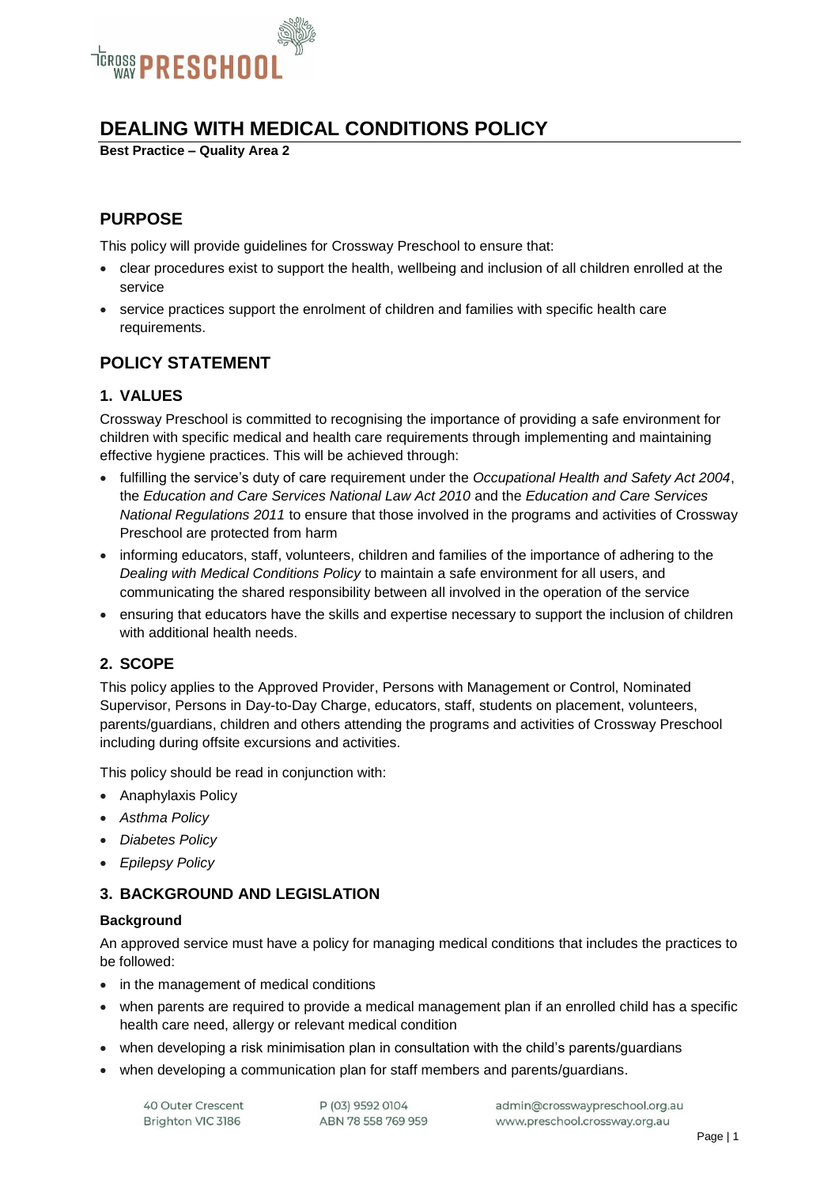

## **DEALING WITH MEDICAL CONDITIONS POLICY**

**Best Practice – Quality Area 2**

## **PURPOSE**

This policy will provide guidelines for Crossway Preschool to ensure that:

- clear procedures exist to support the health, wellbeing and inclusion of all children enrolled at the service
- service practices support the enrolment of children and families with specific health care requirements.

## **POLICY STATEMENT**

## **1. VALUES**

Crossway Preschool is committed to recognising the importance of providing a safe environment for children with specific medical and health care requirements through implementing and maintaining effective hygiene practices. This will be achieved through:

- fulfilling the service's duty of care requirement under the *Occupational Health and Safety Act 2004*, the *Education and Care Services National Law Act 2010* and the *Education and Care Services National Regulations 2011* to ensure that those involved in the programs and activities of Crossway Preschool are protected from harm
- informing educators, staff, volunteers, children and families of the importance of adhering to the *Dealing with Medical Conditions Policy* to maintain a safe environment for all users, and communicating the shared responsibility between all involved in the operation of the service
- ensuring that educators have the skills and expertise necessary to support the inclusion of children with additional health needs.

## **2. SCOPE**

This policy applies to the Approved Provider, Persons with Management or Control, Nominated Supervisor, Persons in Day-to-Day Charge, educators, staff, students on placement, volunteers, parents/guardians, children and others attending the programs and activities of Crossway Preschool including during offsite excursions and activities.

This policy should be read in conjunction with:

- Anaphylaxis Policy
- *Asthma Policy*
- *Diabetes Policy*
- *Epilepsy Policy*

### **3. BACKGROUND AND LEGISLATION**

#### **Background**

An approved service must have a policy for managing medical conditions that includes the practices to be followed:

- in the management of medical conditions
- when parents are required to provide a medical management plan if an enrolled child has a specific health care need, allergy or relevant medical condition
- when developing a risk minimisation plan in consultation with the child's parents/guardians
- when developing a communication plan for staff members and parents/guardians.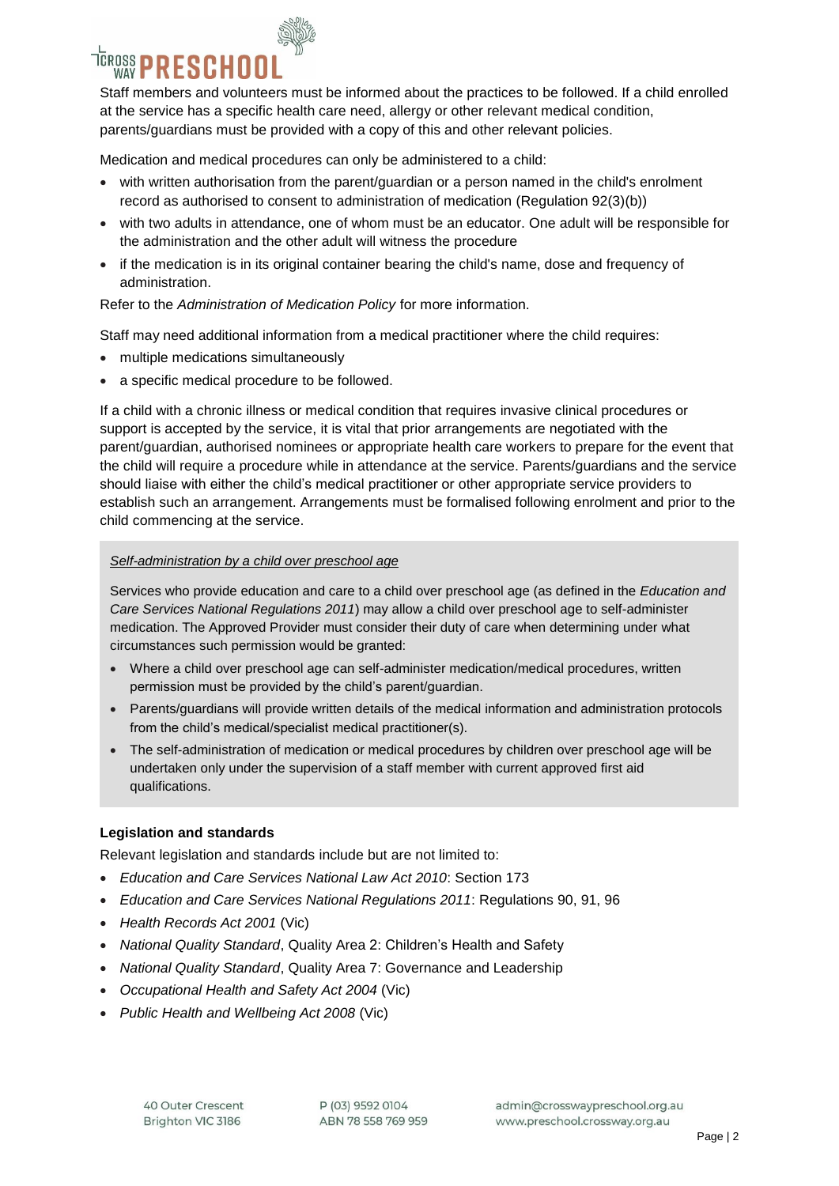## <sup>TEROSS</sup> PRESCHOO

Staff members and volunteers must be informed about the practices to be followed. If a child enrolled at the service has a specific health care need, allergy or other relevant medical condition, parents/guardians must be provided with a copy of this and other relevant policies.

Medication and medical procedures can only be administered to a child:

- with written authorisation from the parent/guardian or a person named in the child's enrolment record as authorised to consent to administration of medication (Regulation 92(3)(b))
- with two adults in attendance, one of whom must be an educator. One adult will be responsible for the administration and the other adult will witness the procedure
- if the medication is in its original container bearing the child's name, dose and frequency of administration.

Refer to the *Administration of Medication Policy* for more information.

Staff may need additional information from a medical practitioner where the child requires:

- multiple medications simultaneously
- a specific medical procedure to be followed.

If a child with a chronic illness or medical condition that requires invasive clinical procedures or support is accepted by the service, it is vital that prior arrangements are negotiated with the parent/guardian, authorised nominees or appropriate health care workers to prepare for the event that the child will require a procedure while in attendance at the service. Parents/guardians and the service should liaise with either the child's medical practitioner or other appropriate service providers to establish such an arrangement. Arrangements must be formalised following enrolment and prior to the child commencing at the service.

#### *Self-administration by a child over preschool age*

Services who provide education and care to a child over preschool age (as defined in the *Education and Care Services National Regulations 2011*) may allow a child over preschool age to self-administer medication. The Approved Provider must consider their duty of care when determining under what circumstances such permission would be granted:

- Where a child over preschool age can self-administer medication/medical procedures, written permission must be provided by the child's parent/guardian.
- Parents/guardians will provide written details of the medical information and administration protocols from the child's medical/specialist medical practitioner(s).
- The self-administration of medication or medical procedures by children over preschool age will be undertaken only under the supervision of a staff member with current approved first aid qualifications.

#### **Legislation and standards**

Relevant legislation and standards include but are not limited to:

- *Education and Care Services National Law Act 2010*: Section 173
- *Education and Care Services National Regulations 2011*: Regulations 90, 91, 96
- *Health Records Act 2001* (Vic)
- *National Quality Standard*, Quality Area 2: Children's Health and Safety
- *National Quality Standard*, Quality Area 7: Governance and Leadership
- *Occupational Health and Safety Act 2004* (Vic)
- *Public Health and Wellbeing Act 2008* (Vic)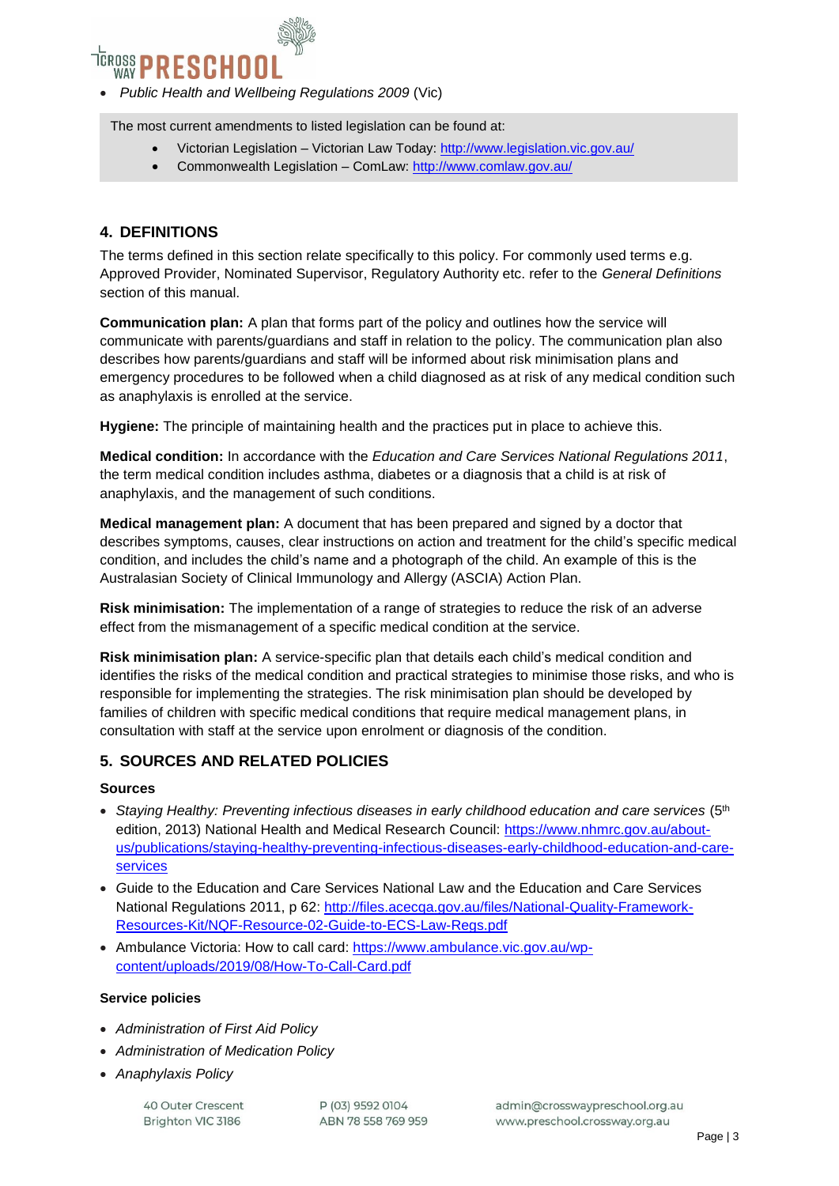

*Public Health and Wellbeing Regulations 2009* (Vic)

The most current amendments to listed legislation can be found at:

- Victorian Legislation Victorian Law Today:<http://www.legislation.vic.gov.au/>
- Commonwealth Legislation ComLaw:<http://www.comlaw.gov.au/>

## **4. DEFINITIONS**

The terms defined in this section relate specifically to this policy. For commonly used terms e.g. Approved Provider, Nominated Supervisor, Regulatory Authority etc. refer to the *General Definitions* section of this manual.

**Communication plan:** A plan that forms part of the policy and outlines how the service will communicate with parents/guardians and staff in relation to the policy. The communication plan also describes how parents/guardians and staff will be informed about risk minimisation plans and emergency procedures to be followed when a child diagnosed as at risk of any medical condition such as anaphylaxis is enrolled at the service.

**Hygiene:** The principle of maintaining health and the practices put in place to achieve this.

**Medical condition:** In accordance with the *Education and Care Services National Regulations 2011*, the term medical condition includes asthma, diabetes or a diagnosis that a child is at risk of anaphylaxis, and the management of such conditions.

**Medical management plan:** A document that has been prepared and signed by a doctor that describes symptoms, causes, clear instructions on action and treatment for the child's specific medical condition, and includes the child's name and a photograph of the child. An example of this is the Australasian Society of Clinical Immunology and Allergy (ASCIA) Action Plan.

**Risk minimisation:** The implementation of a range of strategies to reduce the risk of an adverse effect from the mismanagement of a specific medical condition at the service.

**Risk minimisation plan:** A service-specific plan that details each child's medical condition and identifies the risks of the medical condition and practical strategies to minimise those risks, and who is responsible for implementing the strategies. The risk minimisation plan should be developed by families of children with specific medical conditions that require medical management plans, in consultation with staff at the service upon enrolment or diagnosis of the condition.

### **5. SOURCES AND RELATED POLICIES**

#### **Sources**

- Staying Healthy: Preventing infectious diseases in early childhood education and care services (5<sup>th</sup>) edition, 2013) National Health and Medical Research Council: [https://www.nhmrc.gov.au/about](https://www.nhmrc.gov.au/about-us/publications/staying-healthy-preventing-infectious-diseases-early-childhood-education-and-care-services)[us/publications/staying-healthy-preventing-infectious-diseases-early-childhood-education-and-care](https://www.nhmrc.gov.au/about-us/publications/staying-healthy-preventing-infectious-diseases-early-childhood-education-and-care-services)[services](https://www.nhmrc.gov.au/about-us/publications/staying-healthy-preventing-infectious-diseases-early-childhood-education-and-care-services)
- *G*uide to the Education and Care Services National Law and the Education and Care Services National Regulations 2011, p 62: [http://files.acecqa.gov.au/files/National-Quality-Framework-](http://files.acecqa.gov.au/files/National-Quality-Framework-Resources-Kit/NQF-Resource-02-Guide-to-ECS-Law-Regs.pdf)[Resources-Kit/NQF-Resource-02-Guide-to-ECS-Law-Regs.pdf](http://files.acecqa.gov.au/files/National-Quality-Framework-Resources-Kit/NQF-Resource-02-Guide-to-ECS-Law-Regs.pdf)
- Ambulance Victoria: How to call card: [https://www.ambulance.vic.gov.au/wp](https://www.ambulance.vic.gov.au/wp-content/uploads/2019/08/How-To-Call-Card.pdf)[content/uploads/2019/08/How-To-Call-Card.pdf](https://www.ambulance.vic.gov.au/wp-content/uploads/2019/08/How-To-Call-Card.pdf)

#### **Service policies**

- *Administration of First Aid Policy*
- *Administration of Medication Policy*
- *Anaphylaxis Policy*

40 Outer Crescent Brighton VIC 3186

P (03) 9592 0104 ABN 78 558 769 959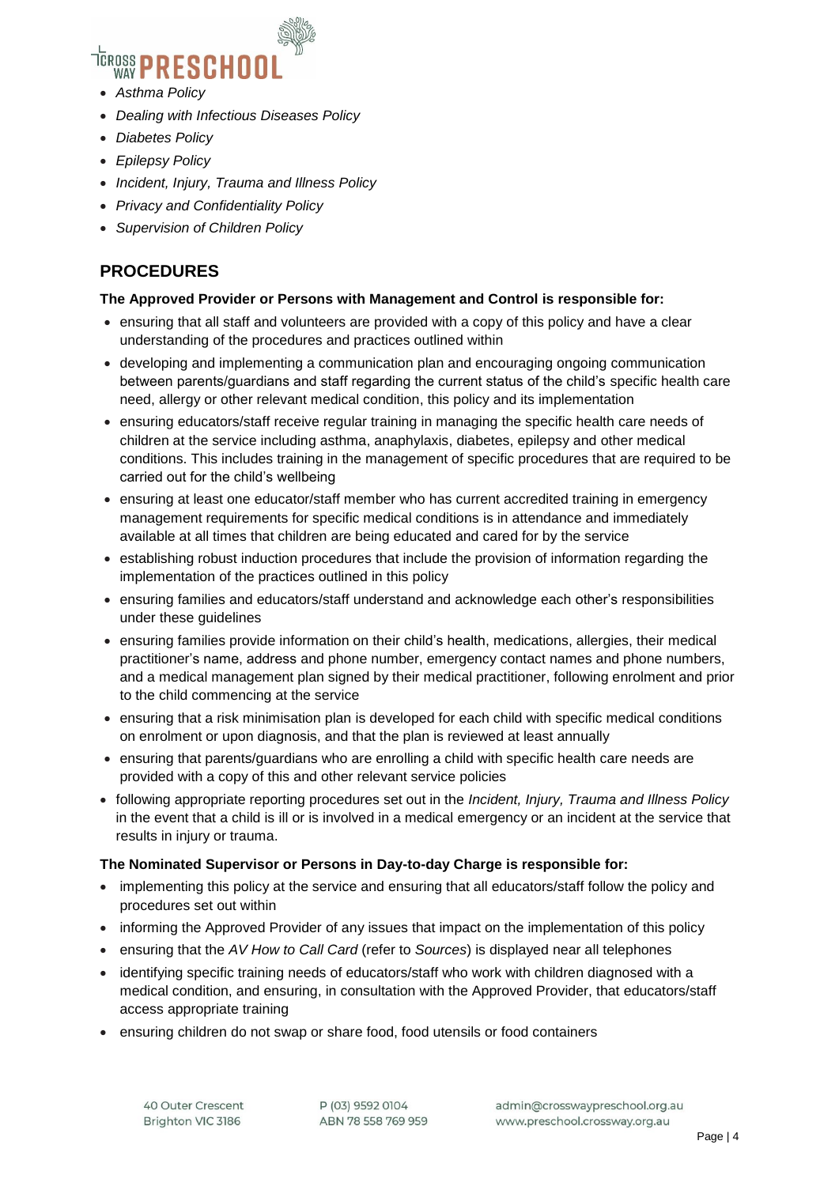# <sup>TEROSS</sup> PRESCHOO

- *Asthma Policy*
- *Dealing with Infectious Diseases Policy*
- *Diabetes Policy*
- *Epilepsy Policy*
- *Incident, Injury, Trauma and Illness Policy*
- *Privacy and Confidentiality Policy*
- *Supervision of Children Policy*

## **PROCEDURES**

#### **The Approved Provider or Persons with Management and Control is responsible for:**

- ensuring that all staff and volunteers are provided with a copy of this policy and have a clear understanding of the procedures and practices outlined within
- developing and implementing a communication plan and encouraging ongoing communication between parents/guardians and staff regarding the current status of the child's specific health care need, allergy or other relevant medical condition, this policy and its implementation
- ensuring educators/staff receive regular training in managing the specific health care needs of children at the service including asthma, anaphylaxis, diabetes, epilepsy and other medical conditions. This includes training in the management of specific procedures that are required to be carried out for the child's wellbeing
- ensuring at least one educator/staff member who has current accredited training in emergency management requirements for specific medical conditions is in attendance and immediately available at all times that children are being educated and cared for by the service
- establishing robust induction procedures that include the provision of information regarding the implementation of the practices outlined in this policy
- ensuring families and educators/staff understand and acknowledge each other's responsibilities under these guidelines
- ensuring families provide information on their child's health, medications, allergies, their medical practitioner's name, address and phone number, emergency contact names and phone numbers, and a medical management plan signed by their medical practitioner, following enrolment and prior to the child commencing at the service
- ensuring that a risk minimisation plan is developed for each child with specific medical conditions on enrolment or upon diagnosis, and that the plan is reviewed at least annually
- ensuring that parents/guardians who are enrolling a child with specific health care needs are provided with a copy of this and other relevant service policies
- following appropriate reporting procedures set out in the *Incident, Injury, Trauma and Illness Policy* in the event that a child is ill or is involved in a medical emergency or an incident at the service that results in injury or trauma.

#### **The Nominated Supervisor or Persons in Day-to-day Charge is responsible for:**

- implementing this policy at the service and ensuring that all educators/staff follow the policy and procedures set out within
- informing the Approved Provider of any issues that impact on the implementation of this policy
- ensuring that the *AV How to Call Card* (refer to *Sources*) is displayed near all telephones
- identifying specific training needs of educators/staff who work with children diagnosed with a medical condition, and ensuring, in consultation with the Approved Provider, that educators/staff access appropriate training
- ensuring children do not swap or share food, food utensils or food containers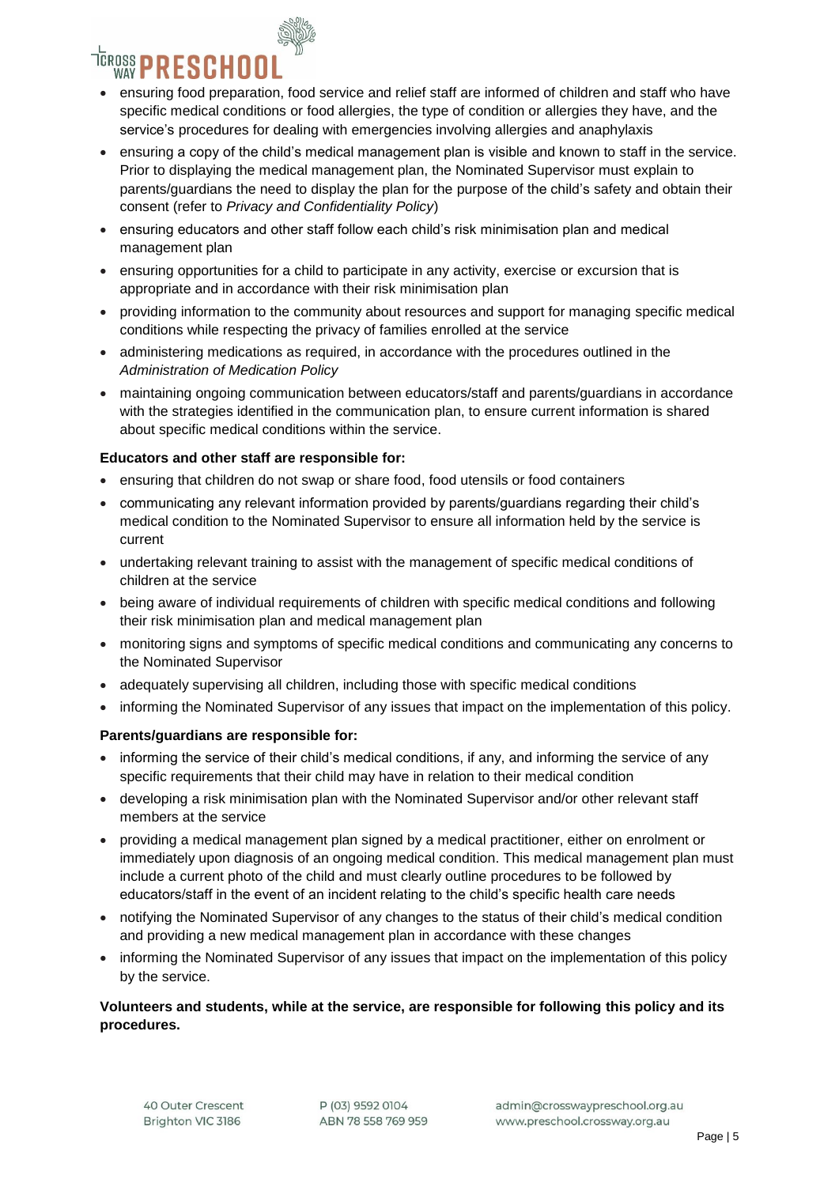

- ensuring food preparation, food service and relief staff are informed of children and staff who have specific medical conditions or food allergies, the type of condition or allergies they have, and the service's procedures for dealing with emergencies involving allergies and anaphylaxis
- ensuring a copy of the child's medical management plan is visible and known to staff in the service. Prior to displaying the medical management plan, the Nominated Supervisor must explain to parents/guardians the need to display the plan for the purpose of the child's safety and obtain their consent (refer to *Privacy and Confidentiality Policy*)
- ensuring educators and other staff follow each child's risk minimisation plan and medical management plan
- ensuring opportunities for a child to participate in any activity, exercise or excursion that is appropriate and in accordance with their risk minimisation plan
- providing information to the community about resources and support for managing specific medical conditions while respecting the privacy of families enrolled at the service
- administering medications as required, in accordance with the procedures outlined in the *Administration of Medication Policy*
- maintaining ongoing communication between educators/staff and parents/guardians in accordance with the strategies identified in the communication plan, to ensure current information is shared about specific medical conditions within the service.

#### **Educators and other staff are responsible for:**

- ensuring that children do not swap or share food, food utensils or food containers
- communicating any relevant information provided by parents/guardians regarding their child's medical condition to the Nominated Supervisor to ensure all information held by the service is current
- undertaking relevant training to assist with the management of specific medical conditions of children at the service
- being aware of individual requirements of children with specific medical conditions and following their risk minimisation plan and medical management plan
- monitoring signs and symptoms of specific medical conditions and communicating any concerns to the Nominated Supervisor
- adequately supervising all children, including those with specific medical conditions
- informing the Nominated Supervisor of any issues that impact on the implementation of this policy.

#### **Parents/guardians are responsible for:**

- informing the service of their child's medical conditions, if any, and informing the service of any specific requirements that their child may have in relation to their medical condition
- developing a risk minimisation plan with the Nominated Supervisor and/or other relevant staff members at the service
- providing a medical management plan signed by a medical practitioner, either on enrolment or immediately upon diagnosis of an ongoing medical condition. This medical management plan must include a current photo of the child and must clearly outline procedures to be followed by educators/staff in the event of an incident relating to the child's specific health care needs
- notifying the Nominated Supervisor of any changes to the status of their child's medical condition and providing a new medical management plan in accordance with these changes
- informing the Nominated Supervisor of any issues that impact on the implementation of this policy by the service.

#### **Volunteers and students, while at the service, are responsible for following this policy and its procedures.**